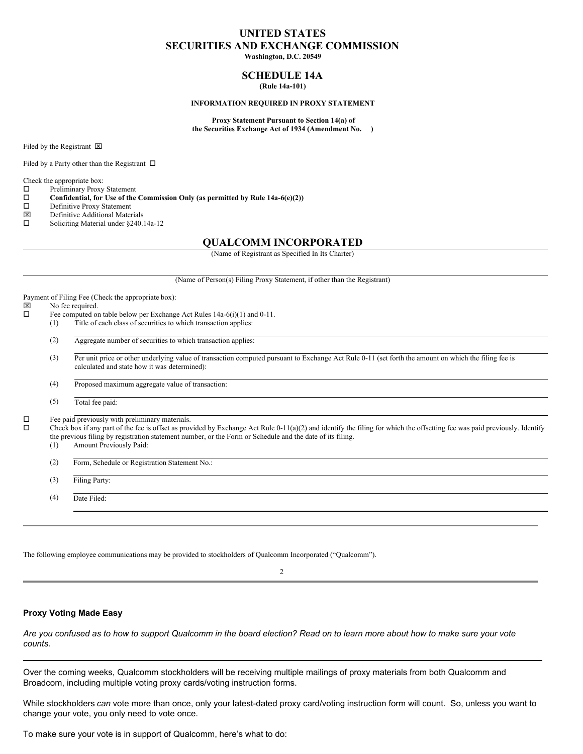#### **UNITED STATES SECURITIES AND EXCHANGE COMMISSION**

**Washington, D.C. 20549**

#### **SCHEDULE 14A (Rule 14a-101)**

#### **INFORMATION REQUIRED IN PROXY STATEMENT**

**Proxy Statement Pursuant to Section 14(a) of the Securities Exchange Act of 1934 (Amendment No. )**

Filed by the Registrant  $\boxtimes$ 

Filed by a Party other than the Registrant  $\Box$ 

Check the appropriate box:

 $\square$  Preliminary Proxy Statement<br> $\square$  Confidential for Use of the

**Confidential, for** Use of the Commission Only (as permitted by Rule 14a-6(e)(2))  $\Box$  Definitive Proxy Statement

- $\square$  Definitive Proxy Statement<br> $\square$  Definitive Additional Mater
- Definitive Additional Materials
- $\square$  Soliciting Material under §240.14a-12

#### **QUALCOMM INCORPORATED**

(Name of Registrant as Specified In Its Charter)

(Name of Person(s) Filing Proxy Statement, if other than the Registrant)

Payment of Filing Fee (Check the appropriate box): **x** No fee required.  $\square$  Fee computed on table below per Exchange Act Rules 14a-6(i)(1) and 0-11. (1) Title of each class of securities to which transaction applies: (2) Aggregate number of securities to which transaction applies: (3) Per unit price or other underlying value of transaction computed pursuant to Exchange Act Rule 0-11 (set forth the amount on which the filing fee is calculated and state how it was determined): (4) Proposed maximum aggregate value of transaction: (5) Total fee paid:  $\square$  Fee paid previously with preliminary materials.  $\Box$  Check box if any part of the fee is offset as provided by Exchange Act Rule 0-11(a)(2) and identify the filing for which the offsetting fee was paid previously. Identify the previous filing by registration statement number, or the Form or Schedule and the date of its filing. (1) Amount Previously Paid: (2) Form, Schedule or Registration Statement No.: (3) Filing Party: (4) Date Filed:

The following employee communications may be provided to stockholders of Qualcomm Incorporated ("Qualcomm").

#### $\overline{2}$

#### **Proxy Voting Made Easy**

Are you confused as to how to support Qualcomm in the board election? Read on to learn more about how to make sure your vote *counts.*

Over the coming weeks, Qualcomm stockholders will be receiving multiple mailings of proxy materials from both Qualcomm and Broadcom, including multiple voting proxy cards/voting instruction forms.

While stockholders *can* vote more than once, only your latest-dated proxy card/voting instruction form will count. So, unless you want to change your vote, you only need to vote once.

To make sure your vote is in support of Qualcomm, here's what to do: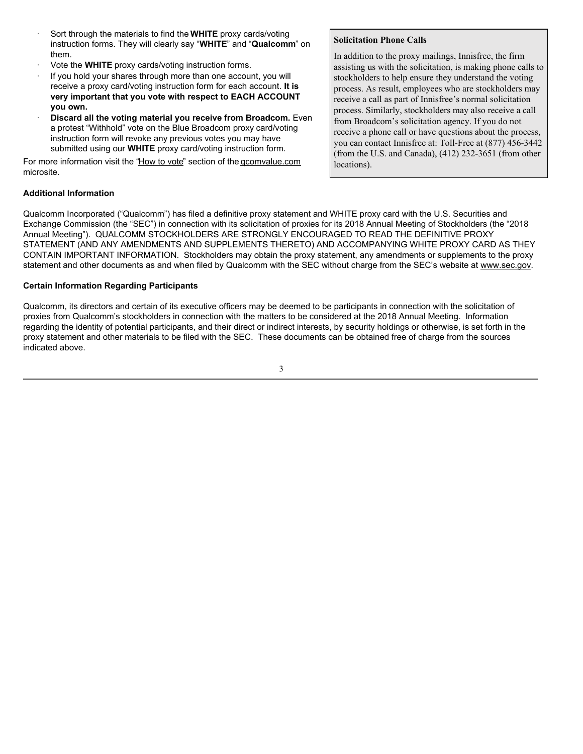- · Sort through the materials to find the **WHITE** proxy cards/voting instruction forms. They will clearly say "**WHITE**" and "**Qualcomm**" on them.
- Vote the **WHITE** proxy cards/voting instruction forms.
- If you hold your shares through more than one account, you will receive a proxy card/voting instruction form for each account. **It is very important that you vote with respect to EACH ACCOUNT you own.**
- · **Discard all the voting material you receive from Broadcom.** Even a protest "Withhold" vote on the Blue Broadcom proxy card/voting instruction form will revoke any previous votes you may have submitted using our **WHITE** proxy card/voting instruction form.

For more information visit the "How to vote" section of the gcomvalue.com microsite.

#### **Additional Information**

#### **Solicitation Phone Calls**

In addition to the proxy mailings, Innisfree, the firm assisting us with the solicitation, is making phone calls to stockholders to help ensure they understand the voting process. As result, employees who are stockholders may receive a call as part of Innisfree's normal solicitation process. Similarly, stockholders may also receive a call from Broadcom's solicitation agency. If you do not receive a phone call or have questions about the process, you can contact Innisfree at: Toll-Free at (877) 456-3442 (from the U.S. and Canada), (412) 232-3651 (from other locations).

Qualcomm Incorporated ("Qualcomm") has filed a definitive proxy statement and WHITE proxy card with the U.S. Securities and Exchange Commission (the "SEC") in connection with its solicitation of proxies for its 2018 Annual Meeting of Stockholders (the "2018 Annual Meeting"). QUALCOMM STOCKHOLDERS ARE STRONGLY ENCOURAGED TO READ THE DEFINITIVE PROXY STATEMENT (AND ANY AMENDMENTS AND SUPPLEMENTS THERETO) AND ACCOMPANYING WHITE PROXY CARD AS THEY CONTAIN IMPORTANT INFORMATION. Stockholders may obtain the proxy statement, any amendments or supplements to the proxy statement and other documents as and when filed by Qualcomm with the SEC without charge from the SEC's website at www.sec.gov.

#### **Certain Information Regarding Participants**

Qualcomm, its directors and certain of its executive officers may be deemed to be participants in connection with the solicitation of proxies from Qualcomm's stockholders in connection with the matters to be considered at the 2018 Annual Meeting. Information regarding the identity of potential participants, and their direct or indirect interests, by security holdings or otherwise, is set forth in the proxy statement and other materials to be filed with the SEC. These documents can be obtained free of charge from the sources indicated above.

#### 3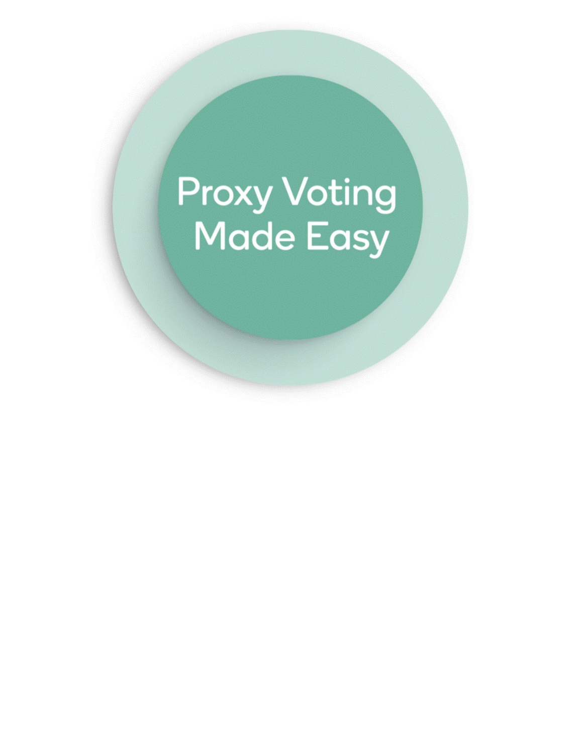# **Proxy Voting<br>Made Easy**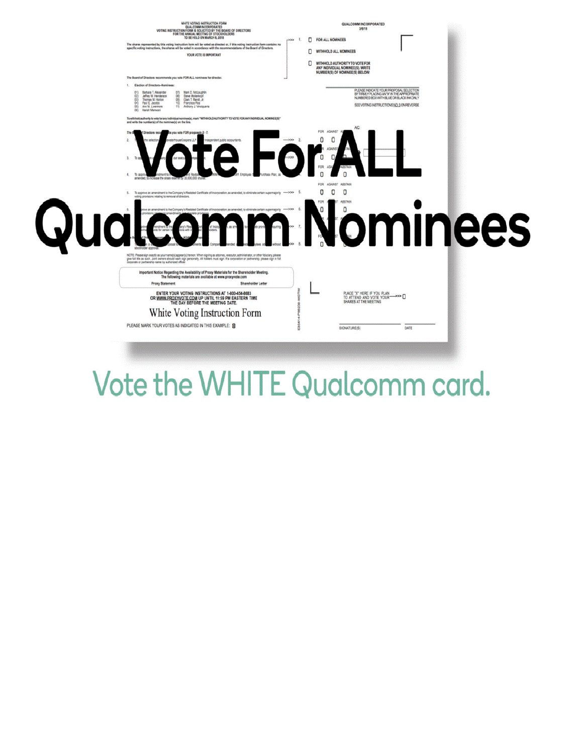

# Vote the WHITE Qualcomm card.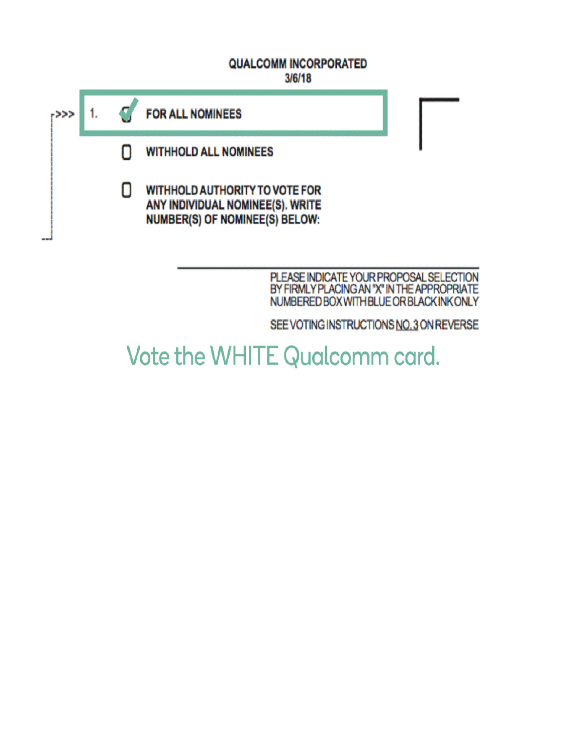#### **QUALCOMM INCORPORATED**  $3/6/18$



PLEASE INDICATE YOUR PROPOSAL SELECTION<br>BY FIRMLY PLACING AN "X" IN THE APPROPRIATE NUMBERED BOX WITH BLUE OR BLACK INK ONLY

SEE VOTING INSTRUCTIONS NO. 3 ON REVERSE

### Vote the WHITE Qualcomm card.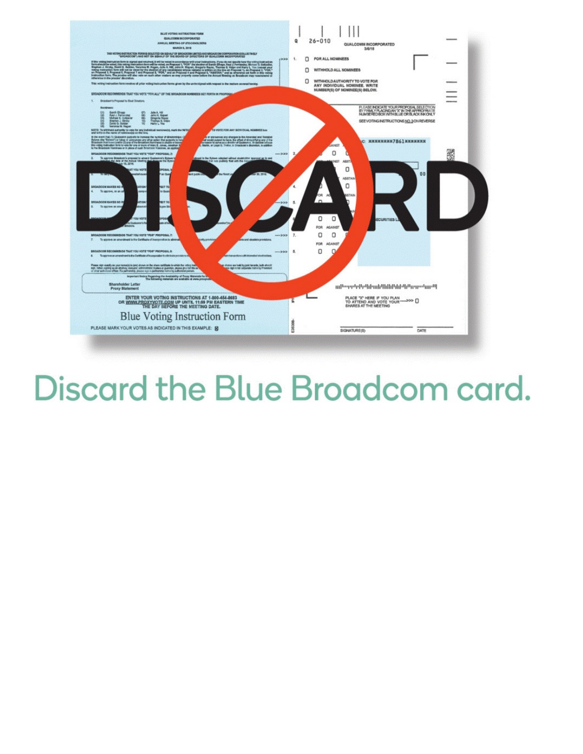

# Discard the Blue Broadcom card.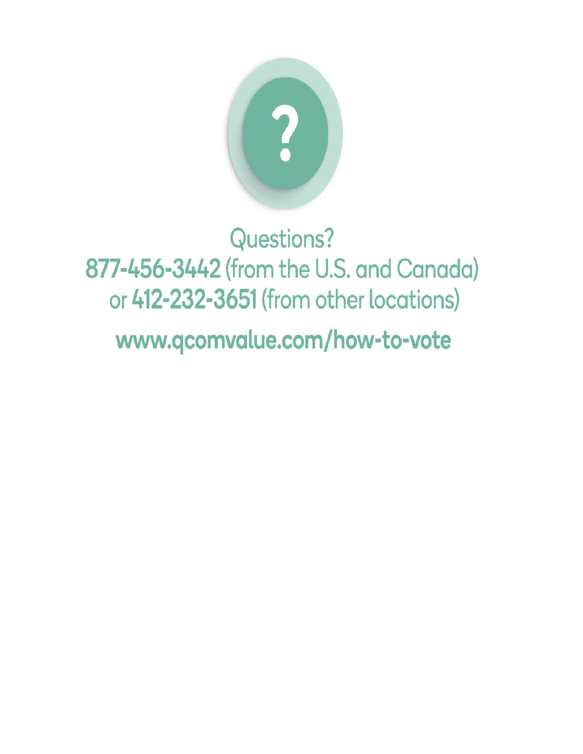

## **Questions?** 877-456-3442 (from the U.S. and Canada) or 412-232-3651 (from other locations)

www.qcomvalue.com/how-to-vote